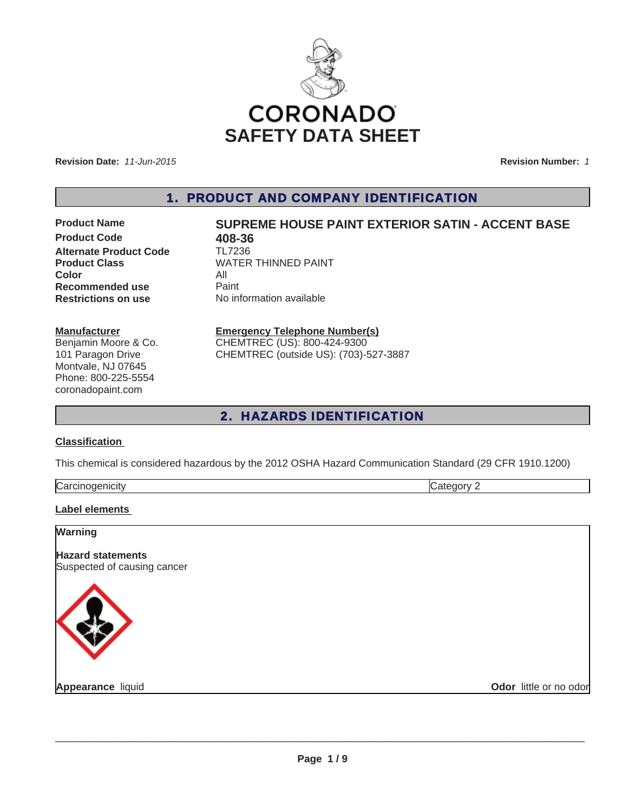

**Revision Date:** *11-Jun-2015*

**Revision Number:** *1*

1. PRODUCT AND COMPANY IDENTIFICATION

**Product Code 618-36**<br>**Alternate Product Code 618-112236 Alternate Product Code Color** All **Recommended use** Paint<br> **Restrictions on use** No inf

# **Product Name SUPREME HOUSE PAINT EXTERIOR SATIN - ACCENT BASE**

**Product Class** WATER THINNED PAINT **No information available** 

#### **Manufacturer**

Benjamin Moore & Co. 101 Paragon Drive Montvale, NJ 07645 Phone: 800-225-5554 coronadopaint.com

## **Emergency Telephone Number(s)**

CHEMTREC (US): 800-424-9300 CHEMTREC (outside US): (703)-527-3887

# 2. HAZARDS IDENTIFICATION

#### **Classification**

This chemical is considered hazardous by the 2012 OSHA Hazard Communication Standard (29 CFR 1910.1200)

| lCa. |  |
|------|--|
|      |  |

#### **Label elements**

| <b>Warning</b>                                          |                        |
|---------------------------------------------------------|------------------------|
| <b>Hazard statements</b><br>Suspected of causing cancer |                        |
|                                                         |                        |
| Appearance liquid                                       | Odor little or no odor |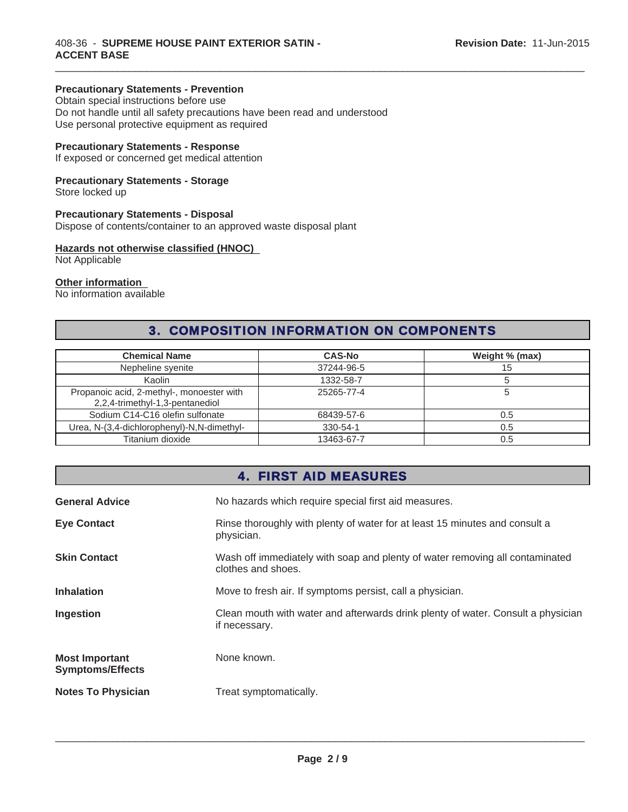## **Precautionary Statements - Prevention**

Obtain special instructions before use Do not handle until all safety precautions have been read and understood Use personal protective equipment as required

## **Precautionary Statements - Response**

If exposed or concerned get medical attention

## **Precautionary Statements - Storage**

Store locked up

## **Precautionary Statements - Disposal**

Dispose of contents/container to an approved waste disposal plant

#### **Hazards not otherwise classified (HNOC)**

Not Applicable

## **Other information**

No information available

# 3. COMPOSITION INFORMATION ON COMPONENTS

 $\_$  ,  $\_$  ,  $\_$  ,  $\_$  ,  $\_$  ,  $\_$  ,  $\_$  ,  $\_$  ,  $\_$  ,  $\_$  ,  $\_$  ,  $\_$  ,  $\_$  ,  $\_$  ,  $\_$  ,  $\_$  ,  $\_$  ,  $\_$  ,  $\_$  ,  $\_$  ,  $\_$  ,  $\_$  ,  $\_$  ,  $\_$  ,  $\_$  ,  $\_$  ,  $\_$  ,  $\_$  ,  $\_$  ,  $\_$  ,  $\_$  ,  $\_$  ,  $\_$  ,  $\_$  ,  $\_$  ,  $\_$  ,  $\_$  ,

| <b>Chemical Name</b>                                                         | <b>CAS-No</b> | Weight % (max) |
|------------------------------------------------------------------------------|---------------|----------------|
| Nepheline syenite                                                            | 37244-96-5    | 15             |
| Kaolin                                                                       | 1332-58-7     |                |
| Propanoic acid, 2-methyl-, monoester with<br>2,2,4-trimethyl-1,3-pentanediol | 25265-77-4    |                |
| Sodium C14-C16 olefin sulfonate                                              | 68439-57-6    | 0.5            |
| Urea, N-(3,4-dichlorophenyl)-N,N-dimethyl-                                   | 330-54-1      | 0.5            |
| Titanium dioxide                                                             | 13463-67-7    | 0.5            |

## 4. FIRST AID MEASURES

| <b>General Advice</b>                            | No hazards which require special first aid measures.                                               |  |
|--------------------------------------------------|----------------------------------------------------------------------------------------------------|--|
| <b>Eye Contact</b>                               | Rinse thoroughly with plenty of water for at least 15 minutes and consult a<br>physician.          |  |
| <b>Skin Contact</b>                              | Wash off immediately with soap and plenty of water removing all contaminated<br>clothes and shoes. |  |
| <b>Inhalation</b>                                | Move to fresh air. If symptoms persist, call a physician.                                          |  |
| Ingestion                                        | Clean mouth with water and afterwards drink plenty of water. Consult a physician<br>if necessary.  |  |
| <b>Most Important</b><br><b>Symptoms/Effects</b> | None known.                                                                                        |  |
| <b>Notes To Physician</b>                        | Treat symptomatically.                                                                             |  |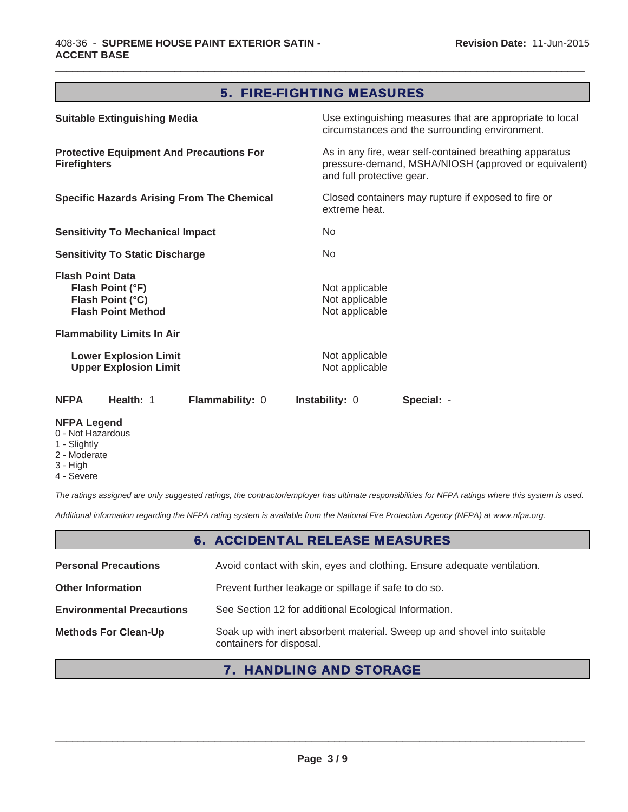# 5. FIRE-FIGHTING MEASURES

 $\_$  ,  $\_$  ,  $\_$  ,  $\_$  ,  $\_$  ,  $\_$  ,  $\_$  ,  $\_$  ,  $\_$  ,  $\_$  ,  $\_$  ,  $\_$  ,  $\_$  ,  $\_$  ,  $\_$  ,  $\_$  ,  $\_$  ,  $\_$  ,  $\_$  ,  $\_$  ,  $\_$  ,  $\_$  ,  $\_$  ,  $\_$  ,  $\_$  ,  $\_$  ,  $\_$  ,  $\_$  ,  $\_$  ,  $\_$  ,  $\_$  ,  $\_$  ,  $\_$  ,  $\_$  ,  $\_$  ,  $\_$  ,  $\_$  ,

| <b>Suitable Extinguishing Media</b>                                                          | Use extinguishing measures that are appropriate to local<br>circumstances and the surrounding environment.                                   |
|----------------------------------------------------------------------------------------------|----------------------------------------------------------------------------------------------------------------------------------------------|
| <b>Protective Equipment And Precautions For</b><br><b>Firefighters</b>                       | As in any fire, wear self-contained breathing apparatus<br>pressure-demand, MSHA/NIOSH (approved or equivalent)<br>and full protective gear. |
| <b>Specific Hazards Arising From The Chemical</b>                                            | Closed containers may rupture if exposed to fire or<br>extreme heat.                                                                         |
| <b>Sensitivity To Mechanical Impact</b>                                                      | No.                                                                                                                                          |
| <b>Sensitivity To Static Discharge</b>                                                       | No.                                                                                                                                          |
| <b>Flash Point Data</b><br>Flash Point (°F)<br>Flash Point (°C)<br><b>Flash Point Method</b> | Not applicable<br>Not applicable<br>Not applicable                                                                                           |
| <b>Flammability Limits In Air</b>                                                            |                                                                                                                                              |
| <b>Lower Explosion Limit</b><br><b>Upper Explosion Limit</b>                                 | Not applicable<br>Not applicable                                                                                                             |
| Flammability: 0<br><b>NFPA</b><br>Health: 1                                                  | <b>Instability: 0</b><br>Special: -                                                                                                          |
| <b>NFPA Legend</b>                                                                           |                                                                                                                                              |

- 0 Not Hazardous
- 1 Slightly
- 2 Moderate
- 3 High
- 4 Severe

*The ratings assigned are only suggested ratings, the contractor/employer has ultimate responsibilities for NFPA ratings where this system is used.*

*Additional information regarding the NFPA rating system is available from the National Fire Protection Agency (NFPA) at www.nfpa.org.*

# 6. ACCIDENTAL RELEASE MEASURES

| <b>Personal Precautions</b>      | Avoid contact with skin, eyes and clothing. Ensure adequate ventilation.                             |  |
|----------------------------------|------------------------------------------------------------------------------------------------------|--|
| <b>Other Information</b>         | Prevent further leakage or spillage if safe to do so.                                                |  |
| <b>Environmental Precautions</b> | See Section 12 for additional Ecological Information.                                                |  |
| <b>Methods For Clean-Up</b>      | Soak up with inert absorbent material. Sweep up and shovel into suitable<br>containers for disposal. |  |

# 7. HANDLING AND STORAGE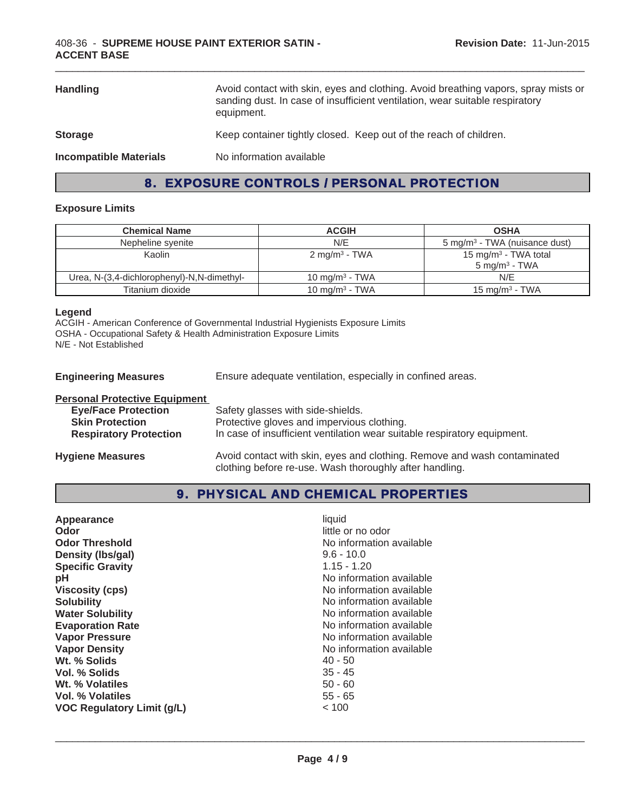| <b>Handling</b>               | Avoid contact with skin, eyes and clothing. Avoid breathing vapors, spray mists or<br>sanding dust. In case of insufficient ventilation, wear suitable respiratory<br>equipment. |  |
|-------------------------------|----------------------------------------------------------------------------------------------------------------------------------------------------------------------------------|--|
| <b>Storage</b>                | Keep container tightly closed. Keep out of the reach of children.                                                                                                                |  |
| <b>Incompatible Materials</b> | No information available                                                                                                                                                         |  |

# 8. EXPOSURE CONTROLS / PERSONAL PROTECTION

## **Exposure Limits**

| <b>Chemical Name</b>                       | <b>ACGIH</b>               | <b>OSHA</b>                                                  |
|--------------------------------------------|----------------------------|--------------------------------------------------------------|
| Nepheline syenite                          | N/E                        | 5 mg/m <sup>3</sup> - TWA (nuisance dust)                    |
| Kaolin                                     | $2 \text{ mg/m}^3$ - TWA   | 15 mg/m <sup>3</sup> - TWA total<br>$5 \text{ mg/m}^3$ - TWA |
| Urea, N-(3,4-dichlorophenyl)-N,N-dimethyl- | 10 mg/m $3$ - TWA          | N/E                                                          |
| Titanium dioxide                           | 10 mg/m <sup>3</sup> - TWA | 15 mg/m <sup>3</sup> - TWA                                   |

#### **Legend**

ACGIH - American Conference of Governmental Industrial Hygienists Exposure Limits OSHA - Occupational Safety & Health Administration Exposure Limits N/E - Not Established

**Engineering Measures** Ensure adequate ventilation, especially in confined areas.

| <b>Personal Protective Equipment</b> |                                                                                                                                     |
|--------------------------------------|-------------------------------------------------------------------------------------------------------------------------------------|
| <b>Eye/Face Protection</b>           | Safety glasses with side-shields.                                                                                                   |
| <b>Skin Protection</b>               | Protective gloves and impervious clothing.                                                                                          |
| <b>Respiratory Protection</b>        | In case of insufficient ventilation wear suitable respiratory equipment.                                                            |
| <b>Hygiene Measures</b>              | Avoid contact with skin, eyes and clothing. Remove and wash contaminated<br>clothing before re-use. Wash thoroughly after handling. |

# 9. PHYSICAL AND CHEMICAL PROPERTIES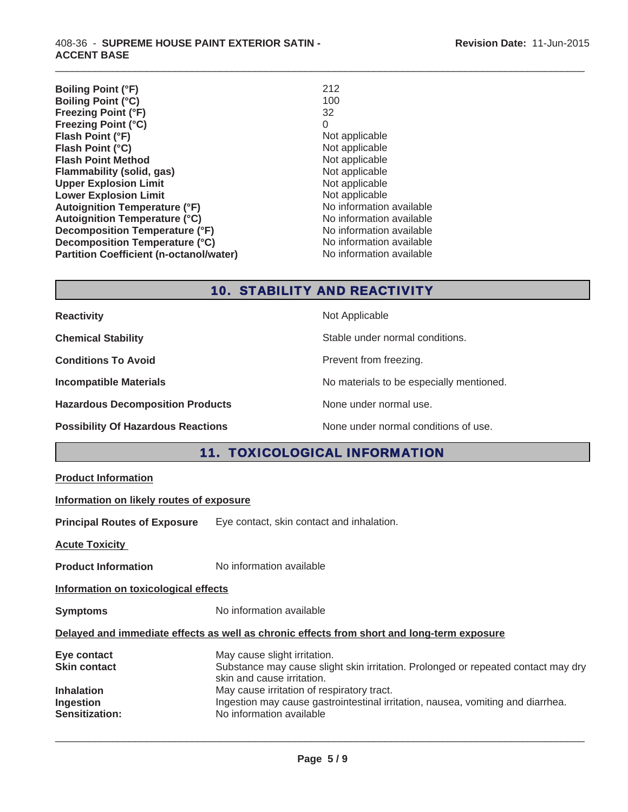408-36 - **SUPREME HOUSE PAINT EXTERIOR SATIN - ACCENT BASE**

**Boiling Point (°F)** 212<br>**Boiling Point (°C)** 212 **Boiling Point (°C)** 100<br>**Freezing Point (°F)** 32 **Freezing Point (°F) Freezing Point (°C)** 0<br>**Flash Point (°F)** Not applicable **Flash Point (°F)**<br> **Flash Point (°C)**<br> **Flash Point (°C)**<br> **Not** applicable **Flash Point (°C) Flash Point Method**<br> **Flammability (solid, gas)** Not applicable Not applicable **Flammability (solid, gas)** Not applicable Upper Explosion Limit Not applicable Upper Explosion Limit **Upper Explosion Limit Lower Explosion Limit**<br> **Autoignition Temperature (°F)**<br> **Autoignition Temperature (°F)**<br> **Autoignition Temperature (°F)**<br> **Autoignition Temperature (°F) Autoignition Temperature (°F)** Autoignition Temperature (°C) Moinformation available **Decomposition Temperature (°F)**<br> **Decomposition Temperature (°C)** No information available<br>
No information available **Decomposition Temperature (°C) Partition Coefficient (n-octanol/water)** No information available

# 10. STABILITY AND REACTIVITY

 $\_$  ,  $\_$  ,  $\_$  ,  $\_$  ,  $\_$  ,  $\_$  ,  $\_$  ,  $\_$  ,  $\_$  ,  $\_$  ,  $\_$  ,  $\_$  ,  $\_$  ,  $\_$  ,  $\_$  ,  $\_$  ,  $\_$  ,  $\_$  ,  $\_$  ,  $\_$  ,  $\_$  ,  $\_$  ,  $\_$  ,  $\_$  ,  $\_$  ,  $\_$  ,  $\_$  ,  $\_$  ,  $\_$  ,  $\_$  ,  $\_$  ,  $\_$  ,  $\_$  ,  $\_$  ,  $\_$  ,  $\_$  ,  $\_$  ,

| <b>Reactivity</b>                         | Not Applicable                           |
|-------------------------------------------|------------------------------------------|
| <b>Chemical Stability</b>                 | Stable under normal conditions.          |
| <b>Conditions To Avoid</b>                | Prevent from freezing.                   |
| <b>Incompatible Materials</b>             | No materials to be especially mentioned. |
| <b>Hazardous Decomposition Products</b>   | None under normal use.                   |
| <b>Possibility Of Hazardous Reactions</b> | None under normal conditions of use.     |

# 11. TOXICOLOGICAL INFORMATION

|  | <b>Product Information</b> |
|--|----------------------------|
|  |                            |

## **Information on likely routes of exposure**

**Principal Routes of Exposure** Eye contact, skin contact and inhalation.

**Acute Toxicity** 

**Product Information** No information available

**Information on toxicological effects**

**Symptoms** No information available

#### **Delayed and immediate effects as well as chronic effects from short and long-term exposure**

| Eye contact           | May cause slight irritation.                                                                                    |
|-----------------------|-----------------------------------------------------------------------------------------------------------------|
| <b>Skin contact</b>   | Substance may cause slight skin irritation. Prolonged or repeated contact may dry<br>skin and cause irritation. |
| <b>Inhalation</b>     | May cause irritation of respiratory tract.                                                                      |
| Ingestion             | Ingestion may cause gastrointestinal irritation, nausea, vomiting and diarrhea.                                 |
| <b>Sensitization:</b> | No information available                                                                                        |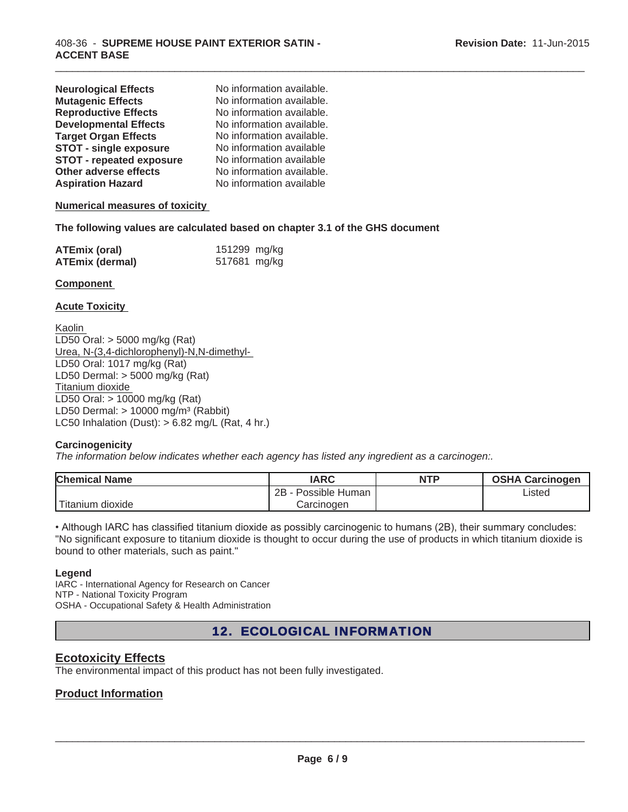| <b>Neurological Effects</b>     | No information available. |
|---------------------------------|---------------------------|
| <b>Mutagenic Effects</b>        | No information available. |
| <b>Reproductive Effects</b>     | No information available. |
| <b>Developmental Effects</b>    | No information available. |
| <b>Target Organ Effects</b>     | No information available. |
| <b>STOT - single exposure</b>   | No information available  |
| <b>STOT - repeated exposure</b> | No information available  |
| Other adverse effects           | No information available. |
| <b>Aspiration Hazard</b>        | No information available  |

## **Numerical measures of toxicity**

## **The following values are calculated based on chapter 3.1 of the GHS document**

| <b>ATEmix (oral)</b> | 151299 mg/kg |  |
|----------------------|--------------|--|
| ATEmix (dermal)      | 517681 mg/kg |  |

#### **Component**

## **Acute Toxicity**

Kaolin LD50 Oral: > 5000 mg/kg (Rat) Urea, N-(3,4-dichlorophenyl)-N,N-dimethyl-LD50 Oral: 1017 mg/kg (Rat) LD50 Dermal: > 5000 mg/kg (Rat) Titanium dioxide LD50 Oral: > 10000 mg/kg (Rat) LD50 Dermal:  $> 10000$  mg/m<sup>3</sup> (Rabbit) LC50 Inhalation (Dust):  $> 6.82$  mg/L (Rat, 4 hr.)

## **Carcinogenicity**

*The information below indicates whether each agency has listed any ingredient as a carcinogen:.*

| <b>Chemical Name</b> | <b>IARC</b>          | <b>NTP</b> | <b>OSHA Carcinogen</b> |
|----------------------|----------------------|------------|------------------------|
|                      | 2B<br>Possible Human |            | Listed                 |
| Titanium dioxide     | Carcinogen           |            |                        |

 $\_$  ,  $\_$  ,  $\_$  ,  $\_$  ,  $\_$  ,  $\_$  ,  $\_$  ,  $\_$  ,  $\_$  ,  $\_$  ,  $\_$  ,  $\_$  ,  $\_$  ,  $\_$  ,  $\_$  ,  $\_$  ,  $\_$  ,  $\_$  ,  $\_$  ,  $\_$  ,  $\_$  ,  $\_$  ,  $\_$  ,  $\_$  ,  $\_$  ,  $\_$  ,  $\_$  ,  $\_$  ,  $\_$  ,  $\_$  ,  $\_$  ,  $\_$  ,  $\_$  ,  $\_$  ,  $\_$  ,  $\_$  ,  $\_$  ,

. Although IARC has classified titanium dioxide as possibly carcinogenic to humans (2B), their summary concludes: "No significant exposure to titanium dioxide is thought to occur during the use of products in which titanium dioxide is bound to other materials, such as paint."

#### **Legend**

IARC - International Agency for Research on Cancer NTP - National Toxicity Program OSHA - Occupational Safety & Health Administration

# 12. ECOLOGICAL INFORMATION

## **Ecotoxicity Effects**

The environmental impact of this product has not been fully investigated.

## **Product Information**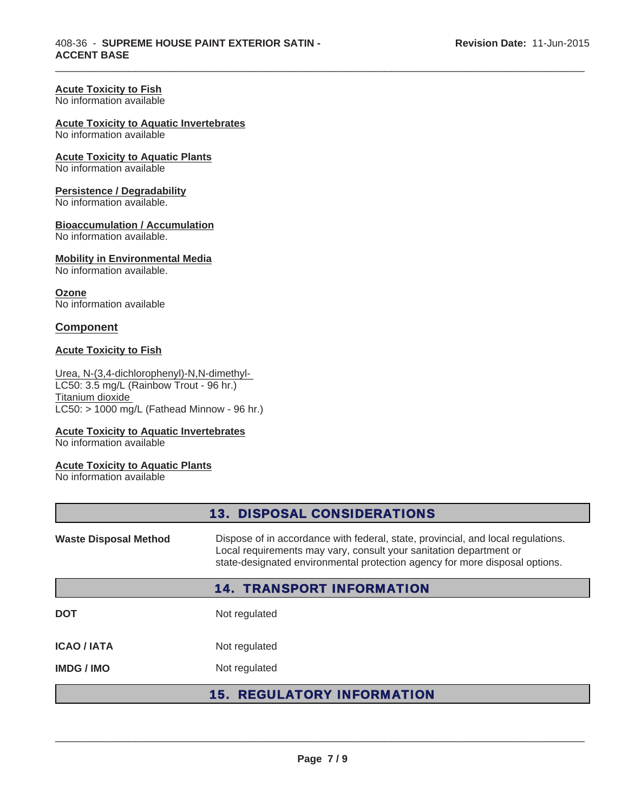#### **Acute Toxicity to Fish**

No information available

#### **Acute Toxicity to Aquatic Invertebrates**

No information available

## **Acute Toxicity to Aquatic Plants**

No information available

#### **Persistence / Degradability**

No information available.

#### **Bioaccumulation / Accumulation**

No information available.

#### **Mobility in Environmental Media**

No information available.

#### **Ozone**

No information available

## **Component**

## **Acute Toxicity to Fish**

## Urea, N-(3,4-dichlorophenyl)-N,N-dimethyl-LC50: 3.5 mg/L (Rainbow Trout - 96 hr.)

Titanium dioxide LC50: > 1000 mg/L (Fathead Minnow - 96 hr.)

## **Acute Toxicity to Aquatic Invertebrates**

No information available

#### **Acute Toxicity to Aquatic Plants**

No information available

| <b>13. DISPOSAL CONSIDERATIONS</b>                                                                                                                                                                                                                                    |                                   |  |
|-----------------------------------------------------------------------------------------------------------------------------------------------------------------------------------------------------------------------------------------------------------------------|-----------------------------------|--|
| Dispose of in accordance with federal, state, provincial, and local regulations.<br><b>Waste Disposal Method</b><br>Local requirements may vary, consult your sanitation department or<br>state-designated environmental protection agency for more disposal options. |                                   |  |
|                                                                                                                                                                                                                                                                       | <b>14. TRANSPORT INFORMATION</b>  |  |
| <b>DOT</b>                                                                                                                                                                                                                                                            | Not regulated                     |  |
| <b>ICAO/IATA</b>                                                                                                                                                                                                                                                      | Not regulated                     |  |
| <b>IMDG/IMO</b>                                                                                                                                                                                                                                                       | Not regulated                     |  |
|                                                                                                                                                                                                                                                                       | <b>15. REGULATORY INFORMATION</b> |  |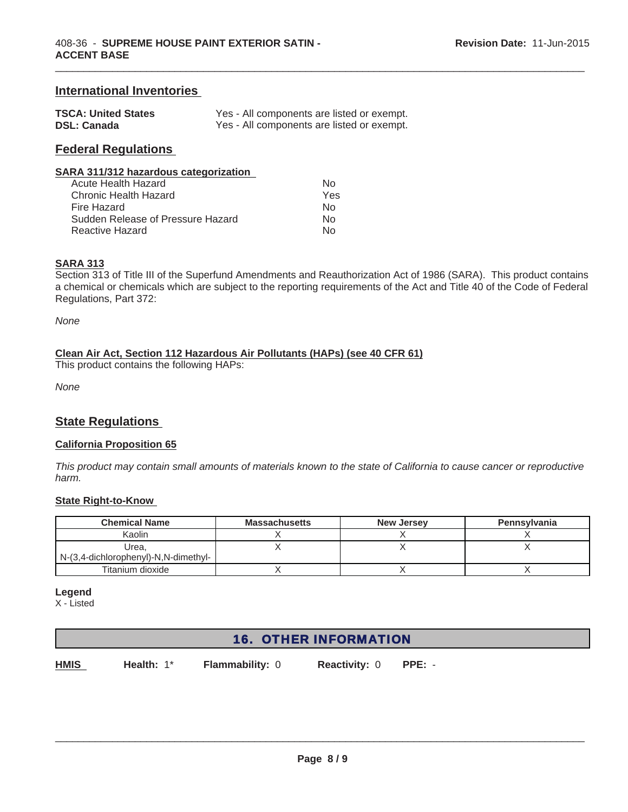## **International Inventories**

| <b>TSCA: United States</b> | Yes - All components are listed or exempt. |
|----------------------------|--------------------------------------------|
| <b>DSL: Canada</b>         | Yes - All components are listed or exempt. |

## **Federal Regulations**

#### **SARA 311/312 hazardous categorization**

| Acute Health Hazard               | N∩  |
|-----------------------------------|-----|
| Chronic Health Hazard             | Yes |
| Fire Hazard                       | N٥  |
| Sudden Release of Pressure Hazard | N∩  |
| Reactive Hazard                   | N∩  |

#### **SARA 313**

Section 313 of Title III of the Superfund Amendments and Reauthorization Act of 1986 (SARA). This product contains a chemical or chemicals which are subject to the reporting requirements of the Act and Title 40 of the Code of Federal Regulations, Part 372:

 $\_$  ,  $\_$  ,  $\_$  ,  $\_$  ,  $\_$  ,  $\_$  ,  $\_$  ,  $\_$  ,  $\_$  ,  $\_$  ,  $\_$  ,  $\_$  ,  $\_$  ,  $\_$  ,  $\_$  ,  $\_$  ,  $\_$  ,  $\_$  ,  $\_$  ,  $\_$  ,  $\_$  ,  $\_$  ,  $\_$  ,  $\_$  ,  $\_$  ,  $\_$  ,  $\_$  ,  $\_$  ,  $\_$  ,  $\_$  ,  $\_$  ,  $\_$  ,  $\_$  ,  $\_$  ,  $\_$  ,  $\_$  ,  $\_$  ,

*None*

#### **Clean Air Act, Section 112 Hazardous Air Pollutants (HAPs) (see 40 CFR 61)**

This product contains the following HAPs:

*None*

## **State Regulations**

#### **California Proposition 65**

*This product may contain small amounts of materials known to the state of California to cause cancer or reproductive harm.*

#### **State Right-to-Know**

| <b>Chemical Name</b>                 | <b>Massachusetts</b> | <b>New Jersey</b> | Pennsylvania |
|--------------------------------------|----------------------|-------------------|--------------|
| Kaolin                               |                      |                   |              |
| Urea.                                |                      |                   |              |
| N-(3,4-dichlorophenyl)-N,N-dimethyl- |                      |                   |              |
| Titanium dioxide                     |                      |                   |              |

#### **Legend**

X - Listed

# 16. OTHER INFORMATION

**HMIS Health:** 1\* **Flammability:** 0 **Reactivity:** 0 **PPE:** -